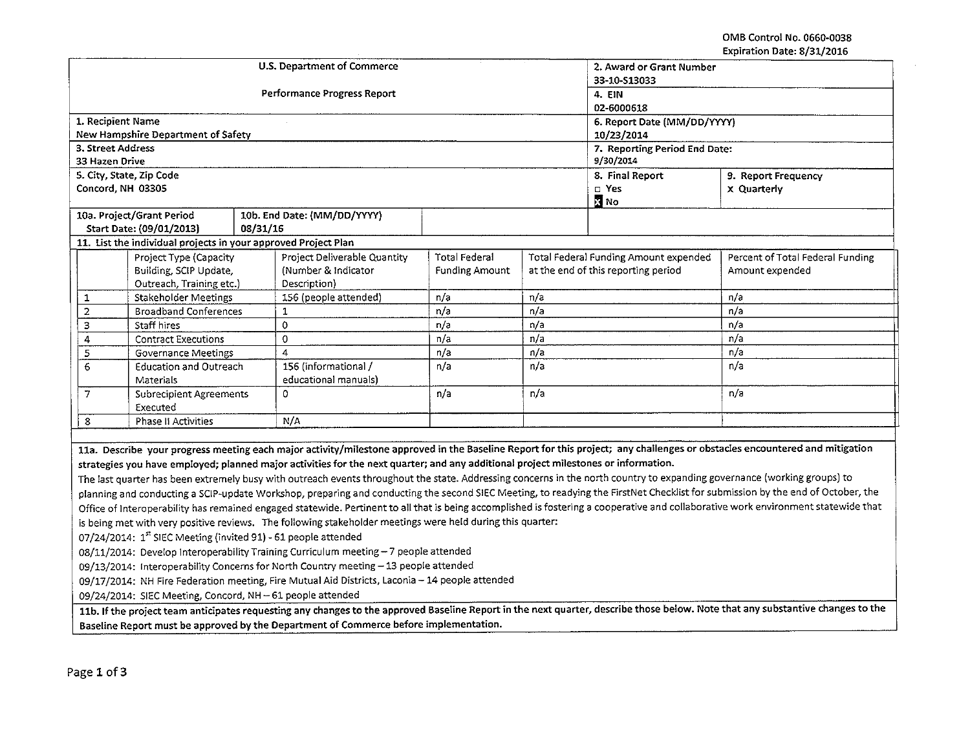OMS Control No. 0660-0038 Expiration Date: 8/31/2016

| Lyhiiarinii nafe. ol 911 ch to                                                                                                                                                      |                               |          |                                                          |                               |                                       |                                     |                                  |  |
|-------------------------------------------------------------------------------------------------------------------------------------------------------------------------------------|-------------------------------|----------|----------------------------------------------------------|-------------------------------|---------------------------------------|-------------------------------------|----------------------------------|--|
|                                                                                                                                                                                     |                               |          | <b>U.S. Department of Commerce</b>                       | 2. Award or Grant Number      |                                       |                                     |                                  |  |
|                                                                                                                                                                                     |                               |          |                                                          | 33-10-S13033                  |                                       |                                     |                                  |  |
|                                                                                                                                                                                     |                               |          | Performance Progress Report                              | 4. EIN                        |                                       |                                     |                                  |  |
|                                                                                                                                                                                     |                               |          |                                                          | 02-6000618                    |                                       |                                     |                                  |  |
| 1. Recipient Name                                                                                                                                                                   |                               |          |                                                          | 6. Report Date (MM/DD/YYYY)   |                                       |                                     |                                  |  |
| New Hampshire Department of Safety                                                                                                                                                  |                               |          |                                                          | 10/23/2014                    |                                       |                                     |                                  |  |
| 3. Street Address                                                                                                                                                                   |                               |          |                                                          | 7. Reporting Period End Date: |                                       |                                     |                                  |  |
| 33 Hazen Drive                                                                                                                                                                      |                               |          |                                                          | 9/30/2014                     |                                       |                                     |                                  |  |
| 5. City, State, Zip Code                                                                                                                                                            |                               |          |                                                          | 8. Final Report               | 9. Report Frequency                   |                                     |                                  |  |
| Concord, NH 03305                                                                                                                                                                   |                               |          |                                                          |                               |                                       | $\square$ Yes<br><b>X</b> No        | x Quarterly                      |  |
| 10a. Project/Grant Period                                                                                                                                                           |                               |          | 10b. End Date: (MM/DD/YYYY)                              |                               |                                       |                                     |                                  |  |
| Start Date: (09/01/2013)                                                                                                                                                            |                               | 08/31/16 |                                                          |                               |                                       |                                     |                                  |  |
| 11. List the individual projects in your approved Project Plan                                                                                                                      |                               |          |                                                          |                               |                                       |                                     |                                  |  |
|                                                                                                                                                                                     | Project Type (Capacity        |          | Project Deliverable Quantity                             | <b>Total Federal</b>          | Total Federal Funding Amount expended |                                     | Percent of Total Federal Funding |  |
|                                                                                                                                                                                     | Building, SCIP Update,        |          | (Number & Indicator                                      | <b>Funding Amount</b>         |                                       | at the end of this reporting period | Amount expended                  |  |
|                                                                                                                                                                                     | Outreach, Training etc.)      |          | Description)                                             |                               |                                       |                                     |                                  |  |
| 1                                                                                                                                                                                   | <b>Stakeholder Meetings</b>   |          | 156 (people attended)                                    | n/a                           | n/a                                   |                                     | n/a                              |  |
| $\mathbf 2$                                                                                                                                                                         | <b>Broadband Conferences</b>  |          | 1                                                        | n/a                           | n/a                                   |                                     | n/a                              |  |
| 3<br>Staff hires                                                                                                                                                                    |                               |          | 0                                                        | n/a                           | n/a                                   |                                     | n/a                              |  |
| 4                                                                                                                                                                                   | <b>Contract Executions</b>    |          | 0                                                        | n/a                           | n/a                                   |                                     | n/a                              |  |
| 5                                                                                                                                                                                   | <b>Governance Meetings</b>    |          | $\overline{4}$                                           | n/a                           | n/a                                   |                                     | n/a                              |  |
| 6                                                                                                                                                                                   | <b>Education and Outreach</b> |          | 156 (informational /                                     | n/a                           | n/a                                   |                                     | n/a                              |  |
| Materials                                                                                                                                                                           |                               |          | educational manuals)                                     |                               |                                       |                                     |                                  |  |
| 7<br><b>Subrecipient Agreements</b>                                                                                                                                                 |                               |          | 0                                                        | n/a                           | n/a                                   |                                     | n/a                              |  |
|                                                                                                                                                                                     | Executed                      |          |                                                          |                               |                                       |                                     |                                  |  |
| 8                                                                                                                                                                                   | Phase II Activities           |          | N/A                                                      |                               |                                       |                                     |                                  |  |
|                                                                                                                                                                                     |                               |          |                                                          |                               |                                       |                                     |                                  |  |
| 11a. Describe your progress meeting each major activity/milestone approved in the Baseline Report for this project; any challenges or obstacles encountered and mitigation          |                               |          |                                                          |                               |                                       |                                     |                                  |  |
| strategies you have employed; planned major activities for the next quarter; and any additional project milestones or information.                                                  |                               |          |                                                          |                               |                                       |                                     |                                  |  |
| The last quarter has been extremely busy with outreach events throughout the state. Addressing concerns in the north country to expanding governance (working groups) to            |                               |          |                                                          |                               |                                       |                                     |                                  |  |
| planning and conducting a SCIP-update Workshop, preparing and conducting the second SIEC Meeting, to readying the FirstNet Checklist for submission by the end of October, the      |                               |          |                                                          |                               |                                       |                                     |                                  |  |
| Office of Interoperability has remained engaged statewide. Pertinent to all that is being accomplished is fostering a cooperative and collaborative work environment statewide that |                               |          |                                                          |                               |                                       |                                     |                                  |  |
| is being met with very positive reviews. The following stakeholder meetings were held during this quarter:                                                                          |                               |          |                                                          |                               |                                       |                                     |                                  |  |
| 07/24/2014: 1st SIEC Meeting (invited 91) - 61 people attended                                                                                                                      |                               |          |                                                          |                               |                                       |                                     |                                  |  |
| 08/11/2014: Develop Interoperability Training Curriculum meeting - 7 people attended                                                                                                |                               |          |                                                          |                               |                                       |                                     |                                  |  |
| 09/13/2014: Interoperability Concerns for North Country meeting - 13 people attended                                                                                                |                               |          |                                                          |                               |                                       |                                     |                                  |  |
| 09/17/2014: NH Fire Federation meeting, Fire Mutual Aid Districts, Laconia - 14 people attended                                                                                     |                               |          |                                                          |                               |                                       |                                     |                                  |  |
|                                                                                                                                                                                     |                               |          | 09/24/2014: SIEC Meeting, Concord, NH-61 people attended |                               |                                       |                                     |                                  |  |
| 11b. If the project team anticipates requesting any changes to the approved Baseline Report in the next quarter, describe those below. Note that any substantive changes to the     |                               |          |                                                          |                               |                                       |                                     |                                  |  |

Baseline Report must be approved by the Department of Commerce before implementation.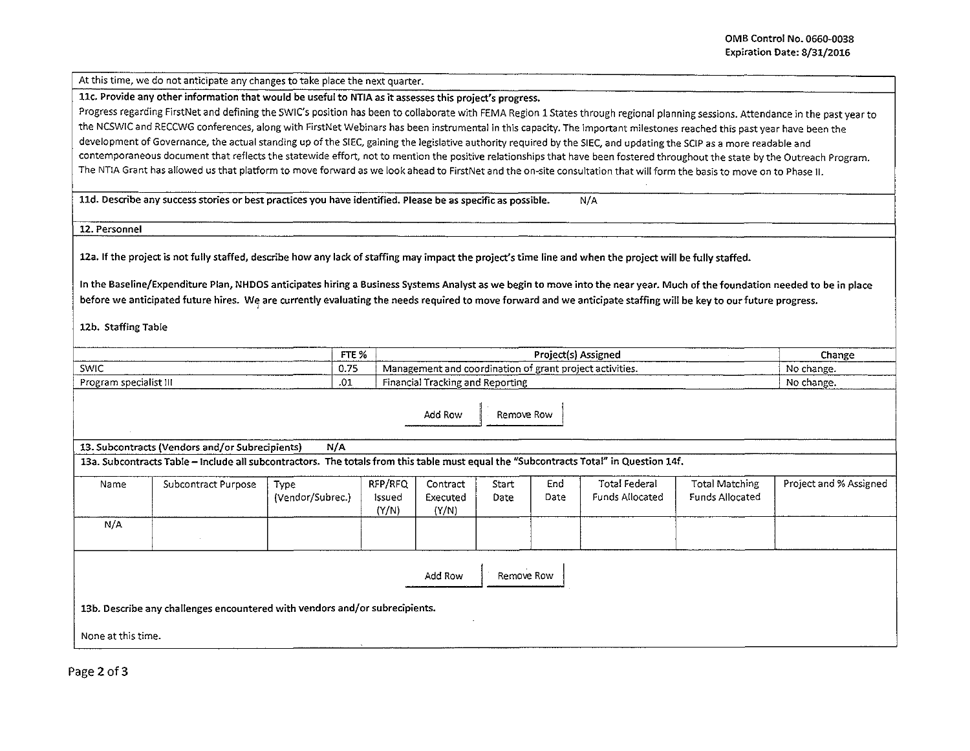At this time, we do not anticipate any changes to take place the next quarter.

llc. Provide any other information that would be useful to NTIA as it assesses this project's progress.

Progress regarding FirstNet and defining the SWIC's position has been to collaborate with FEMA Region 1 States through regional planning sessions. Attendance in the past year to the NCSWIC and RECCWG conferences, along with FirstNet Webinars has been instrumental in this capacity. The important milestones reached this past year have been the development of Governance, the actual standing up of the SIEC, gaining the legislative authority required by the SIEC, and updating the SCIP as a more readable and contemporaneous document that reflects the statewide effort, not to mention the positive relationships that have been fostered throughout the state by the Outreach Program. The NTIA Grant has allowed us that platform to move forward as we look ahead to FirstNet and the on-site consultation that will form the basis to move on to Phase II.

lld. Describe any success stories or best practices you have identified. Please be as specific as possible. N/A

12. Personnel

12a. If the project is not fully staffed, describe how any lack of staffing may impact the project's time line and when the project will be fully staffed.

In the Baseline/Expenditure Plan, NHDOS anticipates hiring a Business Systems Analyst as we begin to move into the near year. Much of the foundation needed to be in place before we anticipated future hires. We are currently evaluating the needs required to move forward and we anticipate staffing will be key to our future progress.

12b. Staffing Table

| ________               | FTE % | Project(s) Assigned                                      | Change          |
|------------------------|-------|----------------------------------------------------------|-----------------|
| <b>SWIC</b>            | 0.75  | Management and coordination of grant project activities. | No change.      |
| Program specialist III | -.01  | <sup>1</sup> Tracking and Reporting<br>Financiali<br>.   | No change.<br>. |

Add Row | Remove Row

13. Subcontracts (Vendors and/or Subrecipients) M/A 13a. Subcontracts Table – Include all subcontractors. The totals from this table must equal the "Subcontracts Total" in Question 14f.

| Name                  | Subcontract Purpose | Type<br>(Vendor/Subrec.) | RFP/RFQ<br>Issued<br>(Y/N) | Contract<br>Executed<br>(Y/N) | Start<br>Date | End<br>Date | Total Federal<br>Funds Allocated | <b>Total Matching</b><br>Funds Allocated | Project and % Assigned |
|-----------------------|---------------------|--------------------------|----------------------------|-------------------------------|---------------|-------------|----------------------------------|------------------------------------------|------------------------|
| N/A                   |                     |                          |                            |                               |               |             |                                  |                                          |                        |
| Add Row<br>Remove Row |                     |                          |                            |                               |               |             |                                  |                                          |                        |

13b. Describe any challenges encountered with vendors and/or subrecipients.

None at this time.

Page 2 of 3